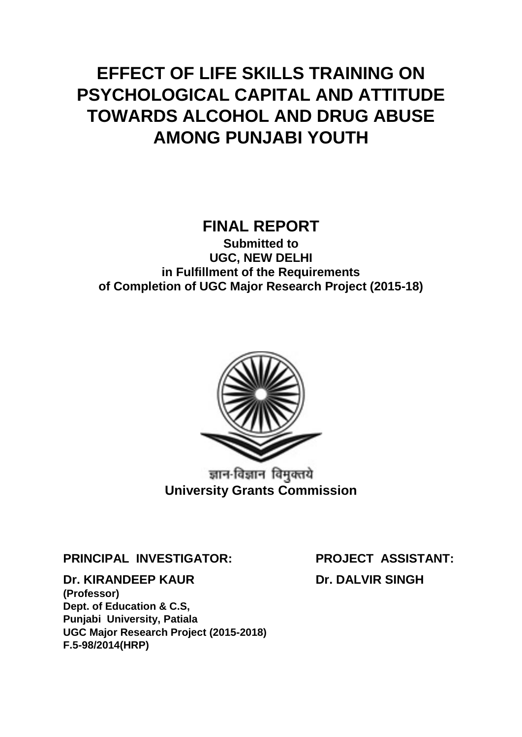# **EFFECT OF LIFE SKILLS TRAINING ON PSYCHOLOGICAL CAPITAL AND ATTITUDE TOWARDS ALCOHOL AND DRUG ABUSE AMONG PUNJABI YOUTH**

# **FINAL REPORT**

**Submitted to UGC, NEW DELHI in Fulfillment of the Requirements of Completion of UGC Major Research Project (2015-18)**



ज्ञान-विज्ञान विमुक्तये **University Grants Commission**

**PRINCIPAL INVESTIGATOR: PROJECT ASSISTANT:**

**Dr. KIRANDEEP KAUR Dr. DALVIR SINGH** 

**(Professor) Dept. of Education & C.S, Punjabi University, Patiala UGC Major Research Project (2015-2018) F.5-98/2014(HRP)**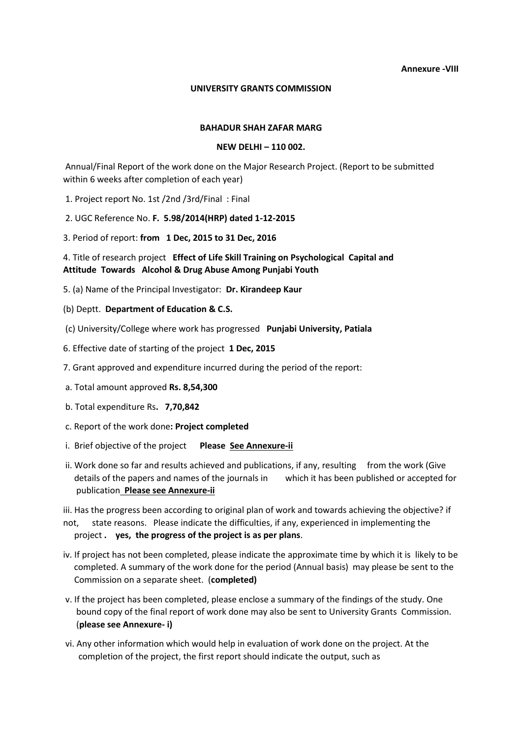#### **Annexure -VIII**

#### **UNIVERSITY GRANTS COMMISSION**

#### **BAHADUR SHAH ZAFAR MARG**

#### **NEW DELHI – 110 002.**

Annual/Final Report of the work done on the Major Research Project. (Report to be submitted within 6 weeks after completion of each year)

- 1. Project report No. 1st /2nd /3rd/Final : Final
- 2. UGC Reference No. **F. 5.98/2014(HRP) dated 1-12-2015**
- 3. Period of report: **from 1 Dec, 2015 to 31 Dec, 2016**

4. Title of research project **Effect of Life Skill Training on Psychological Capital and Attitude Towards Alcohol & Drug Abuse Among Punjabi Youth** 

- 5. (a) Name of the Principal Investigator: **Dr. Kirandeep Kaur**
- (b) Deptt. **Department of Education & C.S.**
- (c) University/College where work has progressed **Punjabi University, Patiala**
- 6. Effective date of starting of the project **1 Dec, 2015**
- 7. Grant approved and expenditure incurred during the period of the report:
- a. Total amount approved **Rs. 8,54,300**
- b. Total expenditure Rs**. 7,70,842**
- c. Report of the work done**: Project completed**
- i. Brief objective of the project **Please See Annexure-ii**
- ii. Work done so far and results achieved and publications, if any, resulting from the work (Give details of the papers and names of the journals in which it has been published or accepted for publication **Please see Annexure-ii**

iii. Has the progress been according to original plan of work and towards achieving the objective? if not, state reasons. Please indicate the difficulties, if any, experienced in implementing the project **. yes, the progress of the project is as per plans**.

- iv. If project has not been completed, please indicate the approximate time by which it is likely to be completed. A summary of the work done for the period (Annual basis) may please be sent to the Commission on a separate sheet. (**completed)**
- v. If the project has been completed, please enclose a summary of the findings of the study. One bound copy of the final report of work done may also be sent to University Grants Commission. (**please see Annexure- i)**
- vi. Any other information which would help in evaluation of work done on the project. At the completion of the project, the first report should indicate the output, such as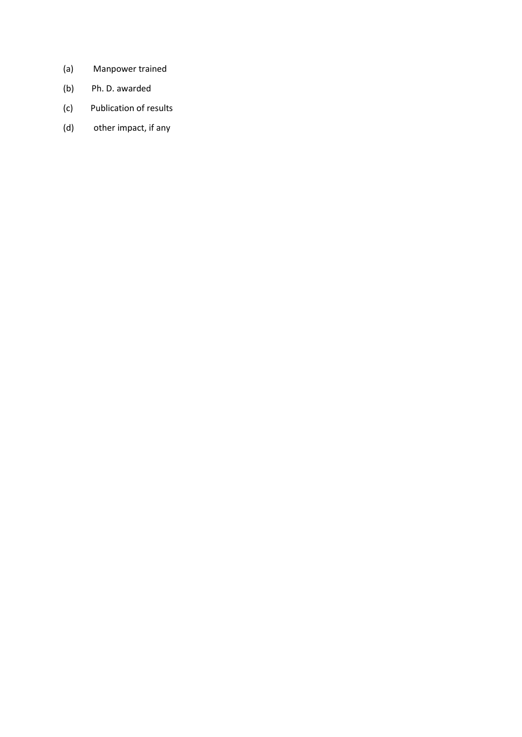- (a) Manpower trained
- (b) Ph. D. awarded
- (c) Publication of results
- (d) other impact, if any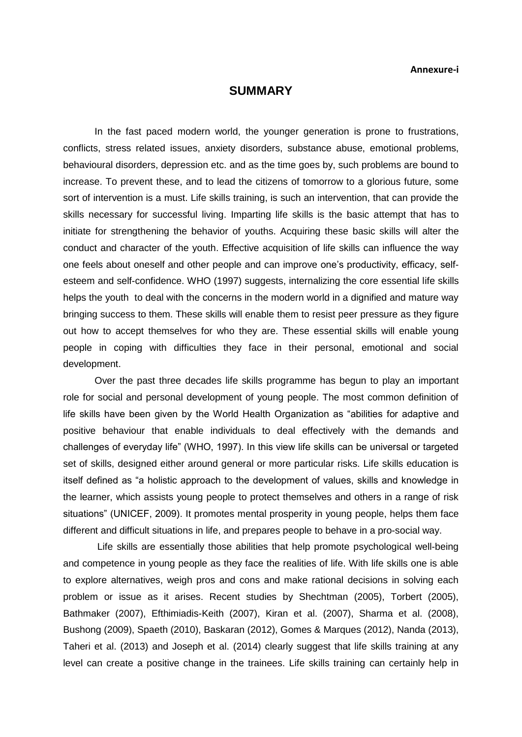#### **SUMMARY**

In the fast paced modern world, the younger generation is prone to frustrations, conflicts, stress related issues, anxiety disorders, substance abuse, emotional problems, behavioural disorders, depression etc. and as the time goes by, such problems are bound to increase. To prevent these, and to lead the citizens of tomorrow to a glorious future, some sort of intervention is a must. Life skills training, is such an intervention, that can provide the skills necessary for successful living. Imparting life skills is the basic attempt that has to initiate for strengthening the behavior of youths. Acquiring these basic skills will alter the conduct and character of the youth. Effective acquisition of life skills can influence the way one feels about oneself and other people and can improve one's productivity, efficacy, selfesteem and self-confidence. WHO (1997) suggests, internalizing the core essential life skills helps the youth to deal with the concerns in the modern world in a dignified and mature way bringing success to them. These skills will enable them to resist peer pressure as they figure out how to accept themselves for who they are. These essential skills will enable young people in coping with difficulties they face in their personal, emotional and social development.

Over the past three decades life skills programme has begun to play an important role for social and personal development of young people. The most common definition of life skills have been given by the World Health Organization as "abilities for adaptive and positive behaviour that enable individuals to deal effectively with the demands and challenges of everyday life" (WHO, 1997). In this view life skills can be universal or targeted set of skills, designed either around general or more particular risks. Life skills education is itself defined as "a holistic approach to the development of values, skills and knowledge in the learner, which assists young people to protect themselves and others in a range of risk situations" (UNICEF, 2009). It promotes mental prosperity in young people, helps them face different and difficult situations in life, and prepares people to behave in a pro-social way.

Life skills are essentially those abilities that help promote psychological well-being and competence in young people as they face the realities of life. With life skills one is able to explore alternatives, weigh pros and cons and make rational decisions in solving each problem or issue as it arises. Recent studies by Shechtman (2005), Torbert (2005), Bathmaker (2007), Efthimiadis-Keith (2007), Kiran et al. (2007), Sharma et al. (2008), Bushong (2009), Spaeth (2010), Baskaran (2012), Gomes & Marques (2012), Nanda (2013), Taheri et al. (2013) and Joseph et al. (2014) clearly suggest that life skills training at any level can create a positive change in the trainees. Life skills training can certainly help in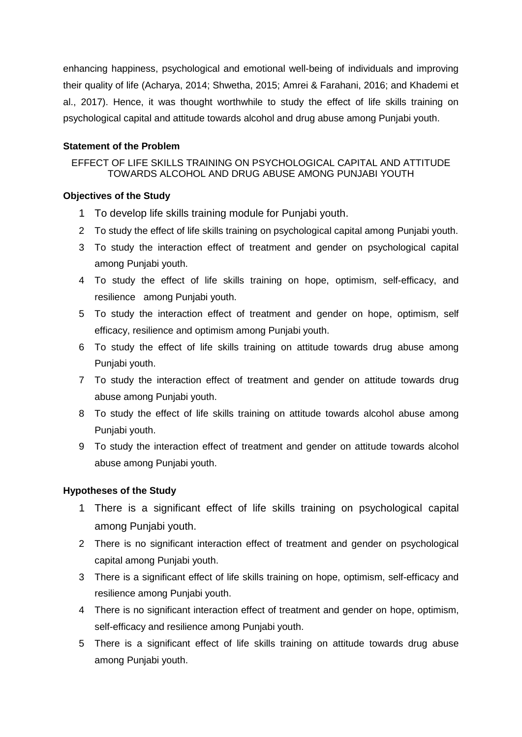enhancing happiness, psychological and emotional well-being of individuals and improving their quality of life (Acharya, 2014; Shwetha, 2015; Amrei & Farahani, 2016; and Khademi et al., 2017). Hence, it was thought worthwhile to study the effect of life skills training on psychological capital and attitude towards alcohol and drug abuse among Punjabi youth.

## **Statement of the Problem**

## EFFECT OF LIFE SKILLS TRAINING ON PSYCHOLOGICAL CAPITAL AND ATTITUDE TOWARDS ALCOHOL AND DRUG ABUSE AMONG PUNJABI YOUTH

#### **Objectives of the Study**

- 1 To develop life skills training module for Punjabi youth.
- 2 To study the effect of life skills training on psychological capital among Punjabi youth.
- 3 To study the interaction effect of treatment and gender on psychological capital among Punjabi youth.
- 4 To study the effect of life skills training on hope, optimism, self-efficacy, and resilience among Punjabi youth.
- 5 To study the interaction effect of treatment and gender on hope, optimism, self efficacy, resilience and optimism among Punjabi youth.
- 6 To study the effect of life skills training on attitude towards drug abuse among Punjabi youth.
- 7 To study the interaction effect of treatment and gender on attitude towards drug abuse among Punjabi youth.
- 8 To study the effect of life skills training on attitude towards alcohol abuse among Punjabi youth.
- 9 To study the interaction effect of treatment and gender on attitude towards alcohol abuse among Punjabi youth.

## **Hypotheses of the Study**

- 1 There is a significant effect of life skills training on psychological capital among Punjabi youth.
- 2 There is no significant interaction effect of treatment and gender on psychological capital among Punjabi youth.
- 3 There is a significant effect of life skills training on hope, optimism, self-efficacy and resilience among Punjabi youth.
- 4 There is no significant interaction effect of treatment and gender on hope, optimism, self-efficacy and resilience among Punjabi youth.
- 5 There is a significant effect of life skills training on attitude towards drug abuse among Punjabi youth.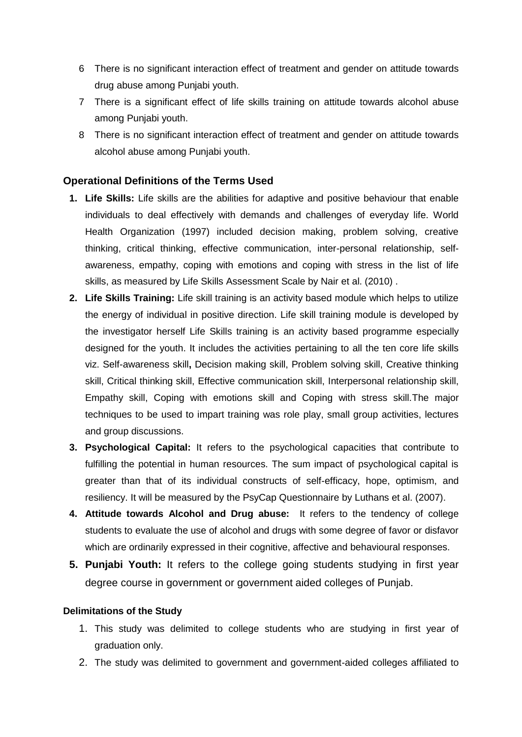- 6 There is no significant interaction effect of treatment and gender on attitude towards drug abuse among Punjabi youth.
- 7 There is a significant effect of life skills training on attitude towards alcohol abuse among Punjabi youth.
- 8 There is no significant interaction effect of treatment and gender on attitude towards alcohol abuse among Punjabi youth.

## **Operational Definitions of the Terms Used**

- **1. Life Skills:** Life skills are the abilities for adaptive and positive behaviour that enable individuals to deal effectively with demands and challenges of everyday life. World Health Organization (1997) included decision making, problem solving, creative thinking, critical thinking, effective communication, inter-personal relationship, selfawareness, empathy, coping with emotions and coping with stress in the list of life skills, as measured by Life Skills Assessment Scale by Nair et al. (2010) .
- **2. Life Skills Training:** Life skill training is an activity based module which helps to utilize the energy of individual in positive direction. Life skill training module is developed by the investigator herself Life Skills training is an activity based programme especially designed for the youth. It includes the activities pertaining to all the ten core life skills viz. Self-awareness skill**,** Decision making skill, Problem solving skill, Creative thinking skill, Critical thinking skill, Effective communication skill, Interpersonal relationship skill, Empathy skill, Coping with emotions skill and Coping with stress skill.The major techniques to be used to impart training was role play, small group activities, lectures and group discussions.
- **3. Psychological Capital:** It refers to the psychological capacities that contribute to fulfilling the potential in human resources. The sum impact of psychological capital is greater than that of its individual constructs of self-efficacy, hope, optimism, and resiliency. It will be measured by the PsyCap Questionnaire by Luthans et al. (2007).
- **4. Attitude towards Alcohol and Drug abuse:** It refers to the tendency of college students to evaluate the use of alcohol and drugs with some degree of favor or disfavor which are ordinarily expressed in their cognitive, affective and behavioural responses.
- **5. Punjabi Youth:** It refers to the college going students studying in first year degree course in government or government aided colleges of Punjab.

#### **Delimitations of the Study**

- 1. This study was delimited to college students who are studying in first year of graduation only.
- 2. The study was delimited to government and government-aided colleges affiliated to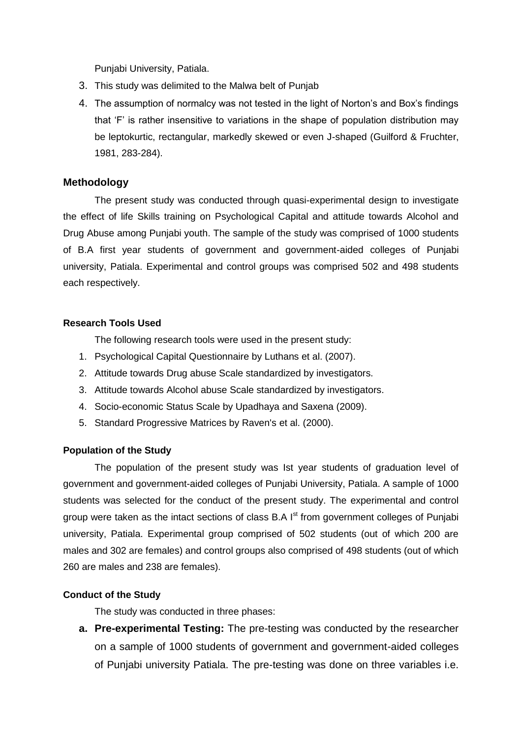Punjabi University, Patiala.

- 3. This study was delimited to the Malwa belt of Punjab
- 4. The assumption of normalcy was not tested in the light of Norton's and Box's findings that 'F' is rather insensitive to variations in the shape of population distribution may be leptokurtic, rectangular, markedly skewed or even J-shaped (Guilford & Fruchter, 1981, 283-284).

#### **Methodology**

The present study was conducted through quasi-experimental design to investigate the effect of life Skills training on Psychological Capital and attitude towards Alcohol and Drug Abuse among Punjabi youth. The sample of the study was comprised of 1000 students of B.A first year students of government and government-aided colleges of Punjabi university, Patiala. Experimental and control groups was comprised 502 and 498 students each respectively.

#### **Research Tools Used**

The following research tools were used in the present study:

- 1. Psychological Capital Questionnaire by Luthans et al. (2007).
- 2. Attitude towards Drug abuse Scale standardized by investigators.
- 3. Attitude towards Alcohol abuse Scale standardized by investigators.
- 4. Socio-economic Status Scale by Upadhaya and Saxena (2009).
- 5. Standard Progressive Matrices by Raven's et al. (2000).

#### **Population of the Study**

The population of the present study was Ist year students of graduation level of government and government-aided colleges of Punjabi University, Patiala. A sample of 1000 students was selected for the conduct of the present study. The experimental and control group were taken as the intact sections of class B.A  $I<sup>st</sup>$  from government colleges of Punjabi university, Patiala. Experimental group comprised of 502 students (out of which 200 are males and 302 are females) and control groups also comprised of 498 students (out of which 260 are males and 238 are females).

## **Conduct of the Study**

The study was conducted in three phases:

**a. Pre-experimental Testing:** The pre-testing was conducted by the researcher on a sample of 1000 students of government and government-aided colleges of Punjabi university Patiala. The pre-testing was done on three variables i.e.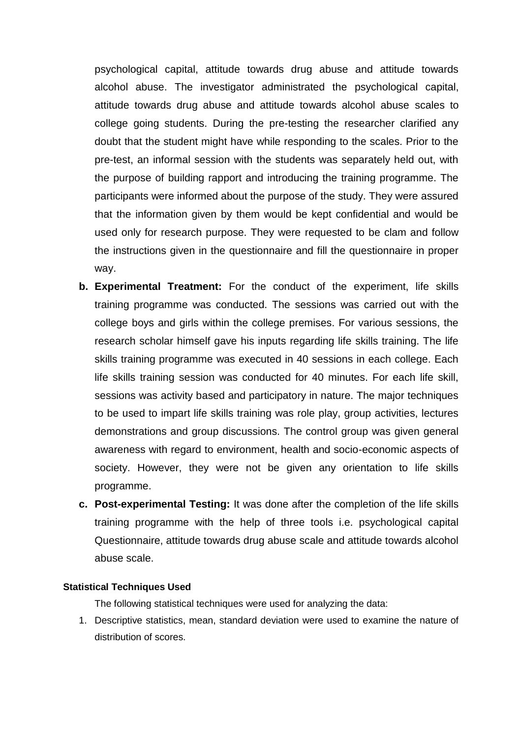psychological capital, attitude towards drug abuse and attitude towards alcohol abuse. The investigator administrated the psychological capital, attitude towards drug abuse and attitude towards alcohol abuse scales to college going students. During the pre-testing the researcher clarified any doubt that the student might have while responding to the scales. Prior to the pre-test, an informal session with the students was separately held out, with the purpose of building rapport and introducing the training programme. The participants were informed about the purpose of the study. They were assured that the information given by them would be kept confidential and would be used only for research purpose. They were requested to be clam and follow the instructions given in the questionnaire and fill the questionnaire in proper way.

- **b. Experimental Treatment:** For the conduct of the experiment, life skills training programme was conducted. The sessions was carried out with the college boys and girls within the college premises. For various sessions, the research scholar himself gave his inputs regarding life skills training. The life skills training programme was executed in 40 sessions in each college. Each life skills training session was conducted for 40 minutes. For each life skill, sessions was activity based and participatory in nature. The major techniques to be used to impart life skills training was role play, group activities, lectures demonstrations and group discussions. The control group was given general awareness with regard to environment, health and socio-economic aspects of society. However, they were not be given any orientation to life skills programme.
- **c. Post-experimental Testing:** It was done after the completion of the life skills training programme with the help of three tools i.e. psychological capital Questionnaire, attitude towards drug abuse scale and attitude towards alcohol abuse scale.

#### **Statistical Techniques Used**

The following statistical techniques were used for analyzing the data:

1. Descriptive statistics, mean, standard deviation were used to examine the nature of distribution of scores.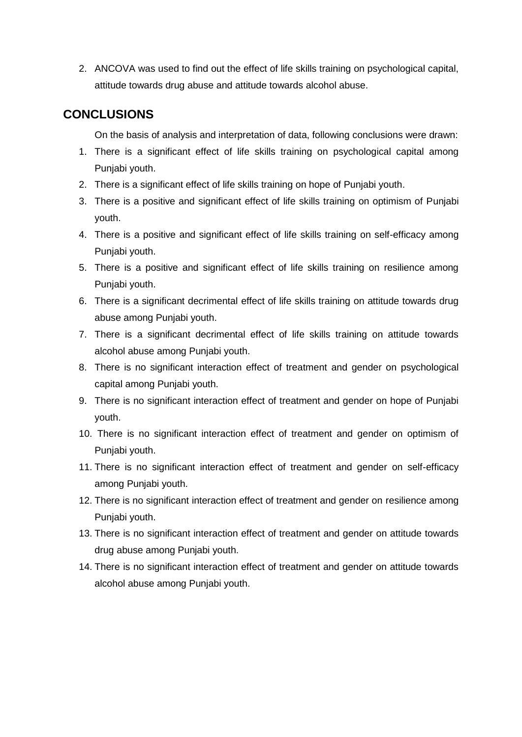2. ANCOVA was used to find out the effect of life skills training on psychological capital, attitude towards drug abuse and attitude towards alcohol abuse.

# **CONCLUSIONS**

On the basis of analysis and interpretation of data, following conclusions were drawn:

- 1. There is a significant effect of life skills training on psychological capital among Punjabi youth.
- 2. There is a significant effect of life skills training on hope of Punjabi youth.
- 3. There is a positive and significant effect of life skills training on optimism of Punjabi youth.
- 4. There is a positive and significant effect of life skills training on self-efficacy among Punjabi youth.
- 5. There is a positive and significant effect of life skills training on resilience among Punjabi youth.
- 6. There is a significant decrimental effect of life skills training on attitude towards drug abuse among Punjabi youth.
- 7. There is a significant decrimental effect of life skills training on attitude towards alcohol abuse among Punjabi youth.
- 8. There is no significant interaction effect of treatment and gender on psychological capital among Punjabi youth.
- 9. There is no significant interaction effect of treatment and gender on hope of Punjabi youth.
- 10. There is no significant interaction effect of treatment and gender on optimism of Punjabi youth.
- 11. There is no significant interaction effect of treatment and gender on self-efficacy among Punjabi youth.
- 12. There is no significant interaction effect of treatment and gender on resilience among Punjabi youth.
- 13. There is no significant interaction effect of treatment and gender on attitude towards drug abuse among Punjabi youth.
- 14. There is no significant interaction effect of treatment and gender on attitude towards alcohol abuse among Punjabi youth.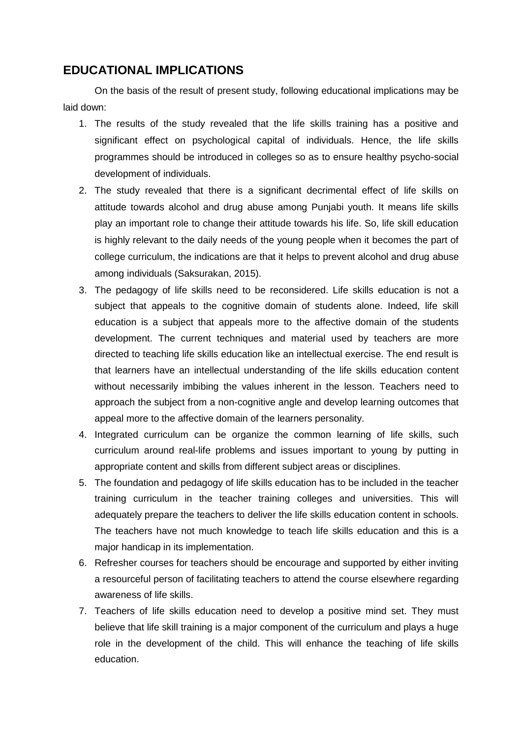# **EDUCATIONAL IMPLICATIONS**

On the basis of the result of present study, following educational implications may be laid down:

- 1. The results of the study revealed that the life skills training has a positive and significant effect on psychological capital of individuals. Hence, the life skills programmes should be introduced in colleges so as to ensure healthy psycho-social development of individuals.
- 2. The study revealed that there is a significant decrimental effect of life skills on attitude towards alcohol and drug abuse among Punjabi youth. It means life skills play an important role to change their attitude towards his life. So, life skill education is highly relevant to the daily needs of the young people when it becomes the part of college curriculum, the indications are that it helps to prevent alcohol and drug abuse among individuals (Saksurakan, 2015).
- 3. The pedagogy of life skills need to be reconsidered. Life skills education is not a subject that appeals to the cognitive domain of students alone. Indeed, life skill education is a subject that appeals more to the affective domain of the students development. The current techniques and material used by teachers are more directed to teaching life skills education like an intellectual exercise. The end result is that learners have an intellectual understanding of the life skills education content without necessarily imbibing the values inherent in the lesson. Teachers need to approach the subject from a non-cognitive angle and develop learning outcomes that appeal more to the affective domain of the learners personality.
- 4. Integrated curriculum can be organize the common learning of life skills, such curriculum around real-life problems and issues important to young by putting in appropriate content and skills from different subject areas or disciplines.
- 5. The foundation and pedagogy of life skills education has to be included in the teacher training curriculum in the teacher training colleges and universities. This will adequately prepare the teachers to deliver the life skills education content in schools. The teachers have not much knowledge to teach life skills education and this is a major handicap in its implementation.
- 6. Refresher courses for teachers should be encourage and supported by either inviting a resourceful person of facilitating teachers to attend the course elsewhere regarding awareness of life skills.
- 7. Teachers of life skills education need to develop a positive mind set. They must believe that life skill training is a major component of the curriculum and plays a huge role in the development of the child. This will enhance the teaching of life skills education.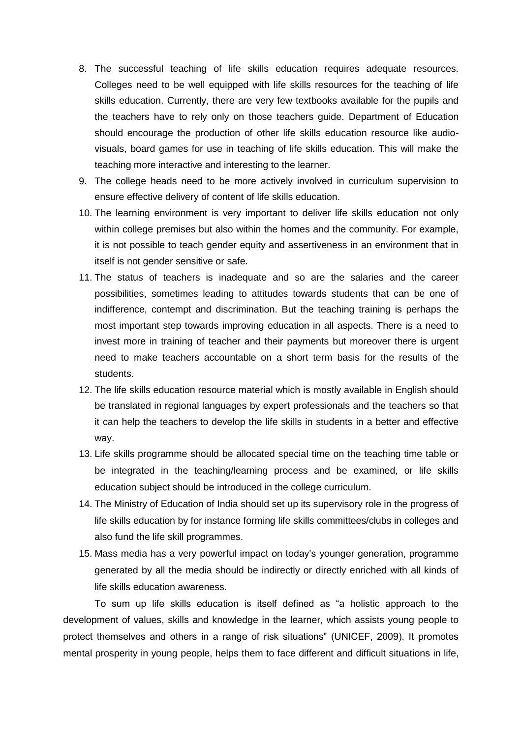- 8. The successful teaching of life skills education requires adequate resources. Colleges need to be well equipped with life skills resources for the teaching of life skills education. Currently, there are very few textbooks available for the pupils and the teachers have to rely only on those teachers guide. Department of Education should encourage the production of other life skills education resource like audiovisuals, board games for use in teaching of life skills education. This will make the teaching more interactive and interesting to the learner.
- 9. The college heads need to be more actively involved in curriculum supervision to ensure effective delivery of content of life skills education.
- 10. The learning environment is very important to deliver life skills education not only within college premises but also within the homes and the community. For example, it is not possible to teach gender equity and assertiveness in an environment that in itself is not gender sensitive or safe.
- 11. The status of teachers is inadequate and so are the salaries and the career possibilities, sometimes leading to attitudes towards students that can be one of indifference, contempt and discrimination. But the teaching training is perhaps the most important step towards improving education in all aspects. There is a need to invest more in training of teacher and their payments but moreover there is urgent need to make teachers accountable on a short term basis for the results of the students.
- 12. The life skills education resource material which is mostly available in English should be translated in regional languages by expert professionals and the teachers so that it can help the teachers to develop the life skills in students in a better and effective way.
- 13. Life skills programme should be allocated special time on the teaching time table or be integrated in the teaching/learning process and be examined, or life skills education subject should be introduced in the college curriculum.
- 14. The Ministry of Education of India should set up its supervisory role in the progress of life skills education by for instance forming life skills committees/clubs in colleges and also fund the life skill programmes.
- 15. Mass media has a very powerful impact on today's younger generation, programme generated by all the media should be indirectly or directly enriched with all kinds of life skills education awareness.

To sum up life skills education is itself defined as "a holistic approach to the development of values, skills and knowledge in the learner, which assists young people to protect themselves and others in a range of risk situations" (UNICEF, 2009). It promotes mental prosperity in young people, helps them to face different and difficult situations in life,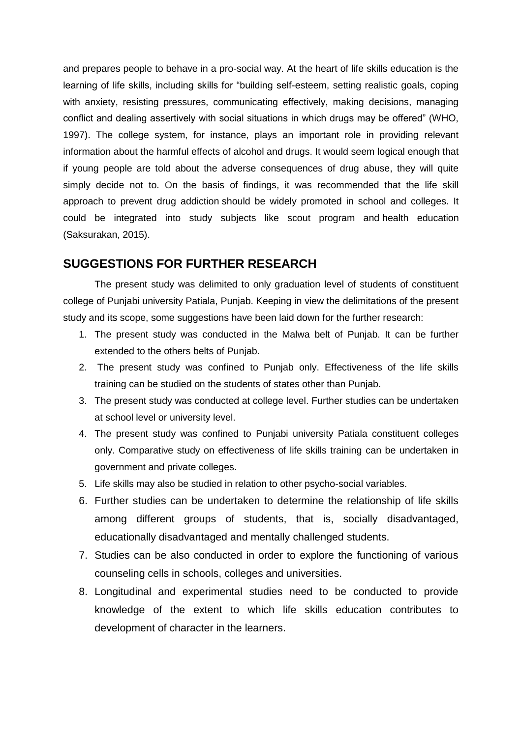and prepares people to behave in a pro-social way. At the heart of life skills education is the learning of life skills, including skills for "building self-esteem, setting realistic goals, coping with anxiety, resisting pressures, communicating effectively, making decisions, managing conflict and dealing assertively with social situations in which drugs may be offered" (WHO, 1997). The college system, for instance, plays an important role in providing relevant information about the harmful effects of alcohol and drugs. It would seem logical enough that if young people are told about the adverse consequences of drug abuse, they will quite simply decide not to. On the basis of findings, it was recommended that the life skill approach to prevent drug addiction should be widely promoted in school and colleges. It could be integrated into study subjects like scout program and health education (Saksurakan, 2015).

## **SUGGESTIONS FOR FURTHER RESEARCH**

The present study was delimited to only graduation level of students of constituent college of Punjabi university Patiala, Punjab. Keeping in view the delimitations of the present study and its scope, some suggestions have been laid down for the further research:

- 1. The present study was conducted in the Malwa belt of Punjab. It can be further extended to the others belts of Punjab.
- 2. The present study was confined to Punjab only. Effectiveness of the life skills training can be studied on the students of states other than Punjab.
- 3. The present study was conducted at college level. Further studies can be undertaken at school level or university level.
- 4. The present study was confined to Punjabi university Patiala constituent colleges only. Comparative study on effectiveness of life skills training can be undertaken in government and private colleges.
- 5. Life skills may also be studied in relation to other psycho-social variables.
- 6. Further studies can be undertaken to determine the relationship of life skills among different groups of students, that is, socially disadvantaged, educationally disadvantaged and mentally challenged students.
- 7. Studies can be also conducted in order to explore the functioning of various counseling cells in schools, colleges and universities.
- 8. Longitudinal and experimental studies need to be conducted to provide knowledge of the extent to which life skills education contributes to development of character in the learners.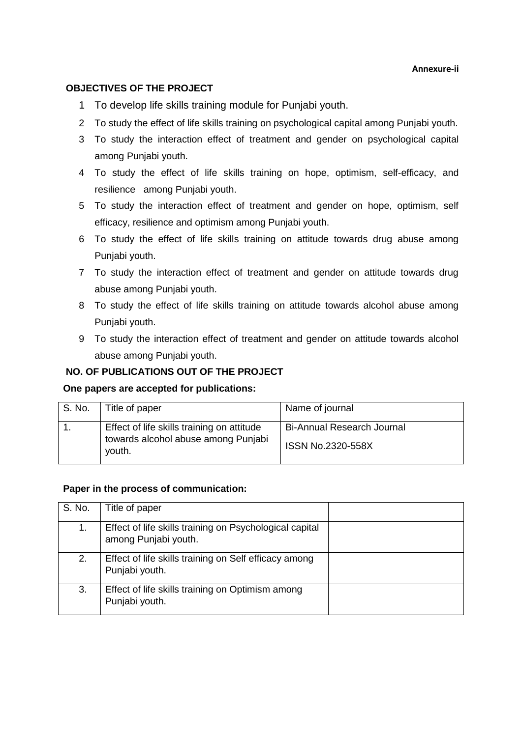#### **Annexure-ii**

#### **OBJECTIVES OF THE PROJECT**

- 1 To develop life skills training module for Punjabi youth.
- 2 To study the effect of life skills training on psychological capital among Punjabi youth.
- 3 To study the interaction effect of treatment and gender on psychological capital among Punjabi youth.
- 4 To study the effect of life skills training on hope, optimism, self-efficacy, and resilience among Punjabi youth.
- 5 To study the interaction effect of treatment and gender on hope, optimism, self efficacy, resilience and optimism among Punjabi youth.
- 6 To study the effect of life skills training on attitude towards drug abuse among Punjabi youth.
- 7 To study the interaction effect of treatment and gender on attitude towards drug abuse among Punjabi youth.
- 8 To study the effect of life skills training on attitude towards alcohol abuse among Punjabi youth.
- 9 To study the interaction effect of treatment and gender on attitude towards alcohol abuse among Punjabi youth.

## **NO. OF PUBLICATIONS OUT OF THE PROJECT**

#### **One papers are accepted for publications:**

| S. No. | Title of paper                                                                              | Name of journal                                        |
|--------|---------------------------------------------------------------------------------------------|--------------------------------------------------------|
|        | Effect of life skills training on attitude<br>towards alcohol abuse among Punjabi<br>youth. | <b>Bi-Annual Research Journal</b><br>ISSN No.2320-558X |

#### **Paper in the process of communication:**

| S. No. | Title of paper                                                                  |  |
|--------|---------------------------------------------------------------------------------|--|
| 1.     | Effect of life skills training on Psychological capital<br>among Punjabi youth. |  |
| 2.     | Effect of life skills training on Self efficacy among<br>Punjabi youth.         |  |
| 3.     | Effect of life skills training on Optimism among<br>Punjabi youth.              |  |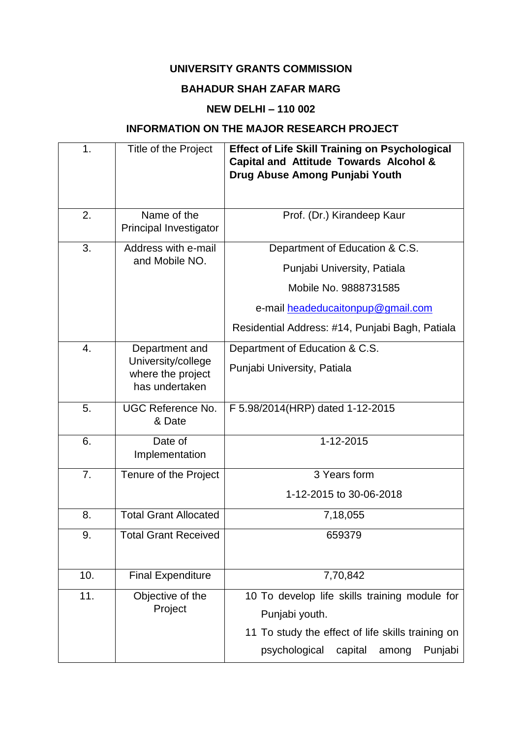## **UNIVERSITY GRANTS COMMISSION**

# **BAHADUR SHAH ZAFAR MARG**

# **NEW DELHI – 110 002**

# **INFORMATION ON THE MAJOR RESEARCH PROJECT**

| 1.  | Title of the Project                                      | <b>Effect of Life Skill Training on Psychological</b><br><b>Capital and Attitude Towards Alcohol &amp;</b><br>Drug Abuse Among Punjabi Youth |
|-----|-----------------------------------------------------------|----------------------------------------------------------------------------------------------------------------------------------------------|
| 2.  | Name of the<br>Principal Investigator                     | Prof. (Dr.) Kirandeep Kaur                                                                                                                   |
| 3.  | Address with e-mail<br>and Mobile NO.                     | Department of Education & C.S.                                                                                                               |
|     |                                                           | Punjabi University, Patiala                                                                                                                  |
|     |                                                           | Mobile No. 9888731585                                                                                                                        |
|     |                                                           | e-mail headeducaitonpup@gmail.com                                                                                                            |
|     |                                                           | Residential Address: #14, Punjabi Bagh, Patiala                                                                                              |
| 4.  | Department and                                            | Department of Education & C.S.                                                                                                               |
|     | University/college<br>where the project<br>has undertaken | Punjabi University, Patiala                                                                                                                  |
| 5.  | <b>UGC Reference No.</b><br>& Date                        | F 5.98/2014(HRP) dated 1-12-2015                                                                                                             |
| 6.  | Date of<br>Implementation                                 | 1-12-2015                                                                                                                                    |
| 7.  | Tenure of the Project                                     | 3 Years form                                                                                                                                 |
|     |                                                           | 1-12-2015 to 30-06-2018                                                                                                                      |
| 8.  | <b>Total Grant Allocated</b>                              | 7,18,055                                                                                                                                     |
| 9.  | <b>Total Grant Received</b>                               | 659379                                                                                                                                       |
| 10. | <b>Final Expenditure</b>                                  | 7,70,842                                                                                                                                     |
| 11. | Objective of the<br>Project                               | 10 To develop life skills training module for<br>Punjabi youth.<br>11 To study the effect of life skills training on                         |
|     |                                                           | psychological<br>capital<br>Punjabi<br>among                                                                                                 |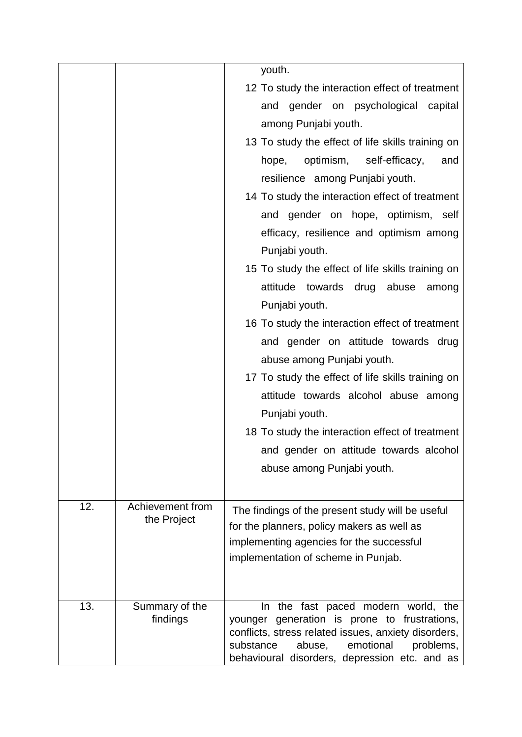|     |                  | youth.                                                                                                                                                                                                 |
|-----|------------------|--------------------------------------------------------------------------------------------------------------------------------------------------------------------------------------------------------|
|     |                  | 12 To study the interaction effect of treatment                                                                                                                                                        |
|     |                  | and gender on psychological capital                                                                                                                                                                    |
|     |                  | among Punjabi youth.                                                                                                                                                                                   |
|     |                  | 13 To study the effect of life skills training on                                                                                                                                                      |
|     |                  | optimism,<br>self-efficacy,<br>hope,<br>and                                                                                                                                                            |
|     |                  | resilience among Punjabi youth.                                                                                                                                                                        |
|     |                  | 14 To study the interaction effect of treatment                                                                                                                                                        |
|     |                  | and gender on hope, optimism, self                                                                                                                                                                     |
|     |                  | efficacy, resilience and optimism among                                                                                                                                                                |
|     |                  | Punjabi youth.                                                                                                                                                                                         |
|     |                  | 15 To study the effect of life skills training on                                                                                                                                                      |
|     |                  | attitude towards drug abuse<br>among                                                                                                                                                                   |
|     |                  | Punjabi youth.                                                                                                                                                                                         |
|     |                  | 16 To study the interaction effect of treatment                                                                                                                                                        |
|     |                  | and gender on attitude towards drug                                                                                                                                                                    |
|     |                  | abuse among Punjabi youth.                                                                                                                                                                             |
|     |                  | 17 To study the effect of life skills training on                                                                                                                                                      |
|     |                  | attitude towards alcohol abuse among                                                                                                                                                                   |
|     |                  | Punjabi youth.                                                                                                                                                                                         |
|     |                  | 18 To study the interaction effect of treatment                                                                                                                                                        |
|     |                  | and gender on attitude towards alcohol                                                                                                                                                                 |
|     |                  | abuse among Punjabi youth.                                                                                                                                                                             |
|     |                  |                                                                                                                                                                                                        |
| 12. | Achievement from | The findings of the present study will be useful                                                                                                                                                       |
|     | the Project      | for the planners, policy makers as well as                                                                                                                                                             |
|     |                  | implementing agencies for the successful                                                                                                                                                               |
|     |                  | implementation of scheme in Punjab.                                                                                                                                                                    |
|     |                  |                                                                                                                                                                                                        |
| 13. | Summary of the   | the fast paced modern world, the<br>In                                                                                                                                                                 |
|     | findings         | younger generation is prone to frustrations,<br>conflicts, stress related issues, anxiety disorders,<br>emotional<br>substance<br>abuse,<br>problems,<br>behavioural disorders, depression etc. and as |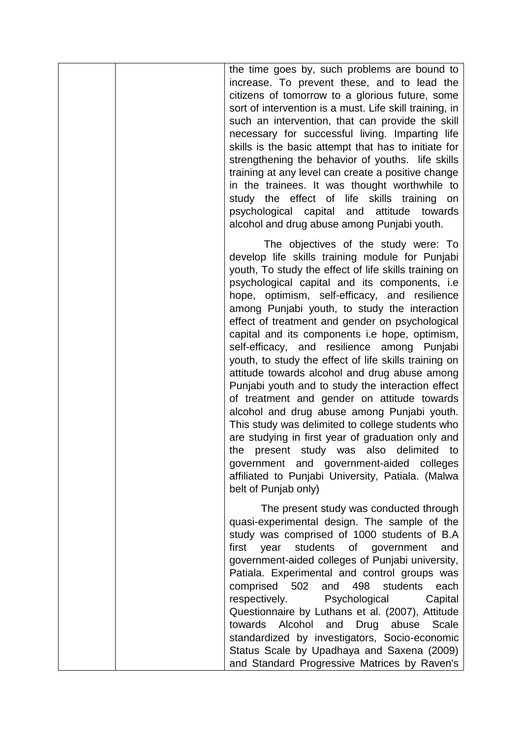|  | the time goes by, such problems are bound to<br>increase. To prevent these, and to lead the<br>citizens of tomorrow to a glorious future, some<br>sort of intervention is a must. Life skill training, in<br>such an intervention, that can provide the skill<br>necessary for successful living. Imparting life<br>skills is the basic attempt that has to initiate for<br>strengthening the behavior of youths. life skills<br>training at any level can create a positive change<br>in the trainees. It was thought worthwhile to<br>study the effect of life skills training on<br>psychological capital and<br>attitude<br>towards<br>alcohol and drug abuse among Punjabi youth.                                                                                                                                                                                                                                                                                                            |
|--|---------------------------------------------------------------------------------------------------------------------------------------------------------------------------------------------------------------------------------------------------------------------------------------------------------------------------------------------------------------------------------------------------------------------------------------------------------------------------------------------------------------------------------------------------------------------------------------------------------------------------------------------------------------------------------------------------------------------------------------------------------------------------------------------------------------------------------------------------------------------------------------------------------------------------------------------------------------------------------------------------|
|  | The objectives of the study were: To<br>develop life skills training module for Punjabi<br>youth, To study the effect of life skills training on<br>psychological capital and its components, i.e<br>hope, optimism, self-efficacy, and resilience<br>among Punjabi youth, to study the interaction<br>effect of treatment and gender on psychological<br>capital and its components i.e hope, optimism,<br>self-efficacy, and resilience among Punjabi<br>youth, to study the effect of life skills training on<br>attitude towards alcohol and drug abuse among<br>Punjabi youth and to study the interaction effect<br>of treatment and gender on attitude towards<br>alcohol and drug abuse among Punjabi youth.<br>This study was delimited to college students who<br>are studying in first year of graduation only and<br>the present study was also delimited to<br>government and government-aided colleges<br>affiliated to Punjabi University, Patiala. (Malwa<br>belt of Punjab only) |
|  | The present study was conducted through<br>quasi-experimental design. The sample of the<br>study was comprised of 1000 students of B.A<br>students of government<br>first<br>year<br>and<br>government-aided colleges of Punjabi university,<br>Patiala. Experimental and control groups was<br>comprised 502 and 498 students<br>each<br>respectively.<br>Psychological<br>Capital<br>Questionnaire by Luthans et al. (2007), Attitude<br>Alcohol<br>towards<br>and<br>Drug<br>abuse<br><b>Scale</b><br>standardized by investigators, Socio-economic<br>Status Scale by Upadhaya and Saxena (2009)<br>and Standard Progressive Matrices by Raven's                                                                                                                                                                                                                                                                                                                                              |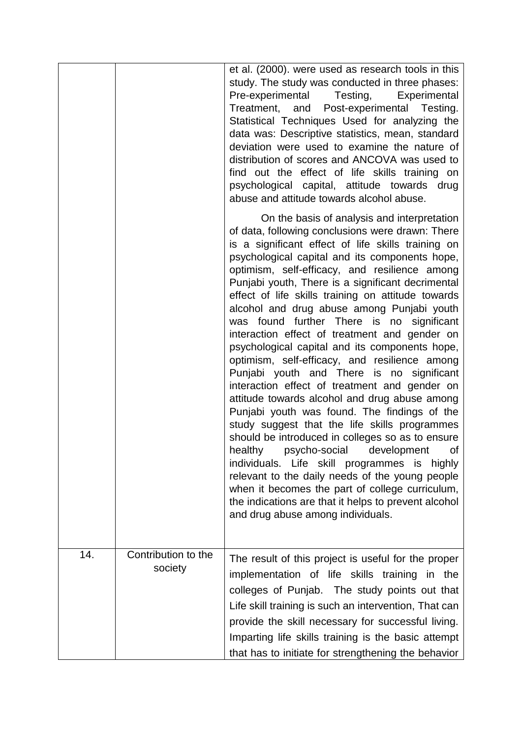|     |                                | et al. (2000). were used as research tools in this<br>study. The study was conducted in three phases:<br>Pre-experimental Testing, Experimental<br>Treatment, and Post-experimental Testing.<br>Statistical Techniques Used for analyzing the<br>data was: Descriptive statistics, mean, standard<br>deviation were used to examine the nature of<br>distribution of scores and ANCOVA was used to<br>find out the effect of life skills training on<br>psychological capital, attitude towards drug<br>abuse and attitude towards alcohol abuse.                                                                                                                                                                                                                                                                                                                                                                                                                                                                                                                                                                                                                                                                       |
|-----|--------------------------------|-------------------------------------------------------------------------------------------------------------------------------------------------------------------------------------------------------------------------------------------------------------------------------------------------------------------------------------------------------------------------------------------------------------------------------------------------------------------------------------------------------------------------------------------------------------------------------------------------------------------------------------------------------------------------------------------------------------------------------------------------------------------------------------------------------------------------------------------------------------------------------------------------------------------------------------------------------------------------------------------------------------------------------------------------------------------------------------------------------------------------------------------------------------------------------------------------------------------------|
|     |                                | On the basis of analysis and interpretation<br>of data, following conclusions were drawn: There<br>is a significant effect of life skills training on<br>psychological capital and its components hope,<br>optimism, self-efficacy, and resilience among<br>Punjabi youth, There is a significant decrimental<br>effect of life skills training on attitude towards<br>alcohol and drug abuse among Punjabi youth<br>was found further There is no significant<br>interaction effect of treatment and gender on<br>psychological capital and its components hope,<br>optimism, self-efficacy, and resilience among<br>Punjabi youth and There is no significant<br>interaction effect of treatment and gender on<br>attitude towards alcohol and drug abuse among<br>Punjabi youth was found. The findings of the<br>study suggest that the life skills programmes<br>should be introduced in colleges so as to ensure<br>healthv<br>psycho-social development<br>ot<br>individuals. Life skill programmes is highly<br>relevant to the daily needs of the young people<br>when it becomes the part of college curriculum,<br>the indications are that it helps to prevent alcohol<br>and drug abuse among individuals. |
| 14. | Contribution to the<br>society | The result of this project is useful for the proper<br>implementation of life skills training in the<br>colleges of Punjab. The study points out that<br>Life skill training is such an intervention, That can<br>provide the skill necessary for successful living.<br>Imparting life skills training is the basic attempt<br>that has to initiate for strengthening the behavior                                                                                                                                                                                                                                                                                                                                                                                                                                                                                                                                                                                                                                                                                                                                                                                                                                      |